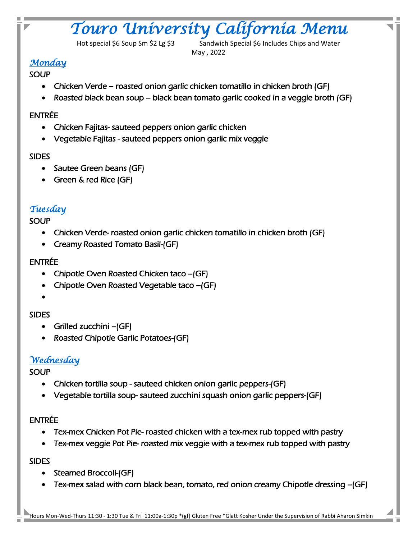# *Touro University California Menu*

Hot special \$6 Soup Sm \$2 Lg \$3 Sandwich Special \$6 Includes Chips and Water May , 2022

# *Monday*

#### **SOUP**

- Chicken Verde roasted onion garlic chicken tomatillo in chicken broth (GF)
- Roasted black bean soup black bean tomato garlic cooked in a veggie broth (GF)

## ENTRÉE

- Chicken Fajitas- sauteed peppers onion garlic chicken
- Vegetable Fajitas sauteed peppers onion garlic mix veggie

### SIDES

- Sautee Green beans (GF)
- Green & red Rice (GF)

## *Tuesday*

### **SOUP**

- Chicken Verde- roasted onion garlic chicken tomatillo in chicken broth (GF)
- Creamy Roasted Tomato Basil-(GF)

### ENTRÉE

- Chipotle Oven Roasted Chicken taco –(GF)
- Chipotle Oven Roasted Vegetable taco –(GF)
- •

#### SIDES

- Grilled zucchini –(GF)
- Roasted Chipotle Garlic Potatoes-(GF)

# *Wednesday*

## **SOUP**

- Chicken tortilla soup sauteed chicken onion garlic peppers-(GF)
- Vegetable tortilla soup- sauteed zucchini squash onion garlic peppers-(GF)

#### ENTRÉE

- Tex-mex Chicken Pot Pie- roasted chicken with a tex-mex rub topped with pastry
- Tex-mex veggie Pot Pie- roasted mix veggie with a tex-mex rub topped with pastry

#### SIDES

- Steamed Broccoli-(GF)
- Tex-mex salad with corn black bean, tomato, red onion creamy Chipotle dressing –(GF)